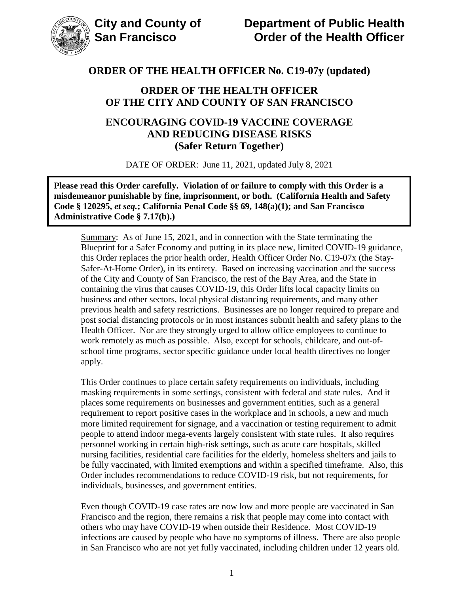

## **ORDER OF THE HEALTH OFFICER OF THE CITY AND COUNTY OF SAN FRANCISCO**

## **ENCOURAGING COVID-19 VACCINE COVERAGE AND REDUCING DISEASE RISKS (Safer Return Together)**

DATE OF ORDER: June 11, 2021, updated July 8, 2021

**Please read this Order carefully. Violation of or failure to comply with this Order is a misdemeanor punishable by fine, imprisonment, or both. (California Health and Safety Code § 120295,** *et seq.***; California Penal Code §§ 69, 148(a)(1); and San Francisco Administrative Code § 7.17(b).)**

Summary: As of June 15, 2021, and in connection with the State terminating the Blueprint for a Safer Economy and putting in its place new, limited COVID-19 guidance, this Order replaces the prior health order, Health Officer Order No. C19-07x (the Stay-Safer-At-Home Order), in its entirety. Based on increasing vaccination and the success of the City and County of San Francisco, the rest of the Bay Area, and the State in containing the virus that causes COVID-19, this Order lifts local capacity limits on business and other sectors, local physical distancing requirements, and many other previous health and safety restrictions. Businesses are no longer required to prepare and post social distancing protocols or in most instances submit health and safety plans to the Health Officer. Nor are they strongly urged to allow office employees to continue to work remotely as much as possible. Also, except for schools, childcare, and out-ofschool time programs, sector specific guidance under local health directives no longer apply.

This Order continues to place certain safety requirements on individuals, including masking requirements in some settings, consistent with federal and state rules. And it places some requirements on businesses and government entities, such as a general requirement to report positive cases in the workplace and in schools, a new and much more limited requirement for signage, and a vaccination or testing requirement to admit people to attend indoor mega-events largely consistent with state rules. It also requires personnel working in certain high-risk settings, such as acute care hospitals, skilled nursing facilities, residential care facilities for the elderly, homeless shelters and jails to be fully vaccinated, with limited exemptions and within a specified timeframe. Also, this Order includes recommendations to reduce COVID-19 risk, but not requirements, for individuals, businesses, and government entities.

Even though COVID-19 case rates are now low and more people are vaccinated in San Francisco and the region, there remains a risk that people may come into contact with others who may have COVID-19 when outside their Residence. Most COVID-19 infections are caused by people who have no symptoms of illness. There are also people in San Francisco who are not yet fully vaccinated, including children under 12 years old.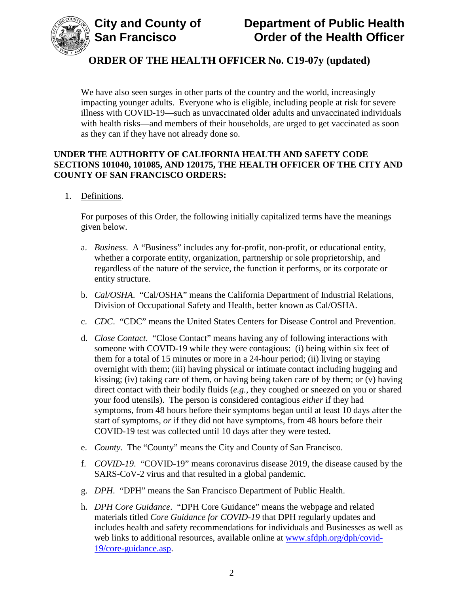

We have also seen surges in other parts of the country and the world, increasingly impacting younger adults. Everyone who is eligible, including people at risk for severe illness with COVID-19—such as unvaccinated older adults and unvaccinated individuals with health risks—and members of their households, are urged to get vaccinated as soon as they can if they have not already done so.

## **UNDER THE AUTHORITY OF CALIFORNIA HEALTH AND SAFETY CODE SECTIONS 101040, 101085, AND 120175, THE HEALTH OFFICER OF THE CITY AND COUNTY OF SAN FRANCISCO ORDERS:**

1. Definitions.

For purposes of this Order, the following initially capitalized terms have the meanings given below.

- a. *Business*. A "Business" includes any for-profit, non-profit, or educational entity, whether a corporate entity, organization, partnership or sole proprietorship, and regardless of the nature of the service, the function it performs, or its corporate or entity structure.
- b. *Cal/OSHA*. "Cal/OSHA" means the California Department of Industrial Relations, Division of Occupational Safety and Health, better known as Cal/OSHA.
- c. *CDC*. "CDC" means the United States Centers for Disease Control and Prevention.
- d. *Close Contact*. "Close Contact" means having any of following interactions with someone with COVID-19 while they were contagious: (i) being within six feet of them for a total of 15 minutes or more in a 24-hour period; (ii) living or staying overnight with them; (iii) having physical or intimate contact including hugging and kissing; (iv) taking care of them, or having being taken care of by them; or (v) having direct contact with their bodily fluids (*e.g.*, they coughed or sneezed on you or shared your food utensils). The person is considered contagious *either* if they had symptoms, from 48 hours before their symptoms began until at least 10 days after the start of symptoms, *or* if they did not have symptoms, from 48 hours before their COVID-19 test was collected until 10 days after they were tested.
- e. *County*. The "County" means the City and County of San Francisco.
- f. *COVID-19*. "COVID-19" means coronavirus disease 2019, the disease caused by the SARS-CoV-2 virus and that resulted in a global pandemic.
- g. *DPH*. "DPH" means the San Francisco Department of Public Health.
- h. *DPH Core Guidance*. "DPH Core Guidance" means the webpage and related materials titled *Core Guidance for COVID-19* that DPH regularly updates and includes health and safety recommendations for individuals and Businesses as well as web links to additional resources, available online at [www.sfdph.org/dph/covid-](https://www.sfdph.org/dph/covid-19/core-guidance.asp)[19/core-guidance.asp.](https://www.sfdph.org/dph/covid-19/core-guidance.asp)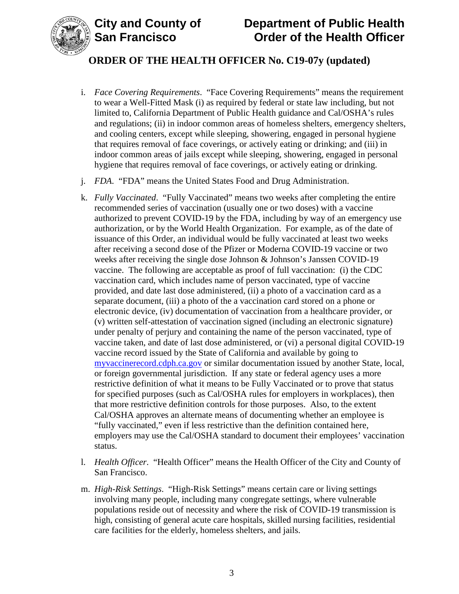

- i. *Face Covering Requirements*. "Face Covering Requirements" means the requirement to wear a Well-Fitted Mask (i) as required by federal or state law including, but not limited to, California Department of Public Health guidance and Cal/OSHA's rules and regulations; (ii) in indoor common areas of homeless shelters, emergency shelters, and cooling centers, except while sleeping, showering, engaged in personal hygiene that requires removal of face coverings, or actively eating or drinking; and (iii) in indoor common areas of jails except while sleeping, showering, engaged in personal hygiene that requires removal of face coverings, or actively eating or drinking.
- j. *FDA*. "FDA" means the United States Food and Drug Administration.
- k. *Fully Vaccinated*. "Fully Vaccinated" means two weeks after completing the entire recommended series of vaccination (usually one or two doses) with a vaccine authorized to prevent COVID-19 by the FDA, including by way of an emergency use authorization, or by the World Health Organization. For example, as of the date of issuance of this Order, an individual would be fully vaccinated at least two weeks after receiving a second dose of the Pfizer or Moderna COVID-19 vaccine or two weeks after receiving the single dose Johnson & Johnson's Janssen COVID-19 vaccine. The following are acceptable as proof of full vaccination: (i) the CDC vaccination card, which includes name of person vaccinated, type of vaccine provided, and date last dose administered, (ii) a photo of a vaccination card as a separate document, (iii) a photo of the a vaccination card stored on a phone or electronic device, (iv) documentation of vaccination from a healthcare provider, or (v) written self-attestation of vaccination signed (including an electronic signature) under penalty of perjury and containing the name of the person vaccinated, type of vaccine taken, and date of last dose administered, or (vi) a personal digital COVID-19 vaccine record issued by the State of California and available by going to [myvaccinerecord.cdph.ca.gov](https://myvaccinerecord.cdph.ca.gov/) or similar documentation issued by another State, local, or foreign governmental jurisdiction. If any state or federal agency uses a more restrictive definition of what it means to be Fully Vaccinated or to prove that status for specified purposes (such as Cal/OSHA rules for employers in workplaces), then that more restrictive definition controls for those purposes. Also, to the extent Cal/OSHA approves an alternate means of documenting whether an employee is "fully vaccinated," even if less restrictive than the definition contained here, employers may use the Cal/OSHA standard to document their employees' vaccination status.
- l. *Health Officer*. "Health Officer" means the Health Officer of the City and County of San Francisco.
- m. *High-Risk Settings*. "High-Risk Settings" means certain care or living settings involving many people, including many congregate settings, where vulnerable populations reside out of necessity and where the risk of COVID-19 transmission is high, consisting of general acute care hospitals, skilled nursing facilities, residential care facilities for the elderly, homeless shelters, and jails.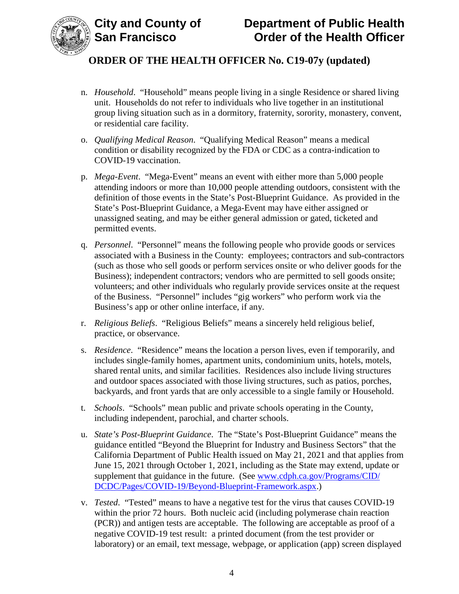

- n. *Household*. "Household" means people living in a single Residence or shared living unit. Households do not refer to individuals who live together in an institutional group living situation such as in a dormitory, fraternity, sorority, monastery, convent, or residential care facility.
- o. *Qualifying Medical Reason*. "Qualifying Medical Reason" means a medical condition or disability recognized by the FDA or CDC as a contra-indication to COVID-19 vaccination.
- p. *Mega-Event*. "Mega-Event" means an event with either more than 5,000 people attending indoors or more than 10,000 people attending outdoors, consistent with the definition of those events in the State's Post-Blueprint Guidance. As provided in the State's Post-Blueprint Guidance, a Mega-Event may have either assigned or unassigned seating, and may be either general admission or gated, ticketed and permitted events.
- q. *Personnel*."Personnel" means the following people who provide goods or services associated with a Business in the County: employees; contractors and sub-contractors (such as those who sell goods or perform services onsite or who deliver goods for the Business); independent contractors; vendors who are permitted to sell goods onsite; volunteers; and other individuals who regularly provide services onsite at the request of the Business. "Personnel" includes "gig workers" who perform work via the Business's app or other online interface, if any.
- r. *Religious Beliefs*. "Religious Beliefs" means a sincerely held religious belief, practice, or observance.
- s. *Residence*. "Residence" means the location a person lives, even if temporarily, and includes single-family homes, apartment units, condominium units, hotels, motels, shared rental units, and similar facilities. Residences also include living structures and outdoor spaces associated with those living structures, such as patios, porches, backyards, and front yards that are only accessible to a single family or Household.
- t. *Schools*. "Schools" mean public and private schools operating in the County, including independent, parochial, and charter schools.
- u. *State's Post-Blueprint Guidance*. The "State's Post-Blueprint Guidance" means the guidance entitled "Beyond the Blueprint for Industry and Business Sectors" that the California Department of Public Health issued on May 21, 2021 and that applies from June 15, 2021 through October 1, 2021, including as the State may extend, update or supplement that guidance in the future. (See [www.cdph.ca.gov/Programs/CID/](https://www.cdph.ca.gov/Programs/CID/DCDC/Pages/COVID-19/Beyond-Blueprint-Framework.aspx) [DCDC/Pages/COVID-19/Beyond-Blueprint-Framework.aspx.](https://www.cdph.ca.gov/Programs/CID/DCDC/Pages/COVID-19/Beyond-Blueprint-Framework.aspx))
- v. *Tested*. "Tested" means to have a negative test for the virus that causes COVID-19 within the prior 72 hours. Both nucleic acid (including polymerase chain reaction (PCR)) and antigen tests are acceptable. The following are acceptable as proof of a negative COVID-19 test result: a printed document (from the test provider or laboratory) or an email, text message, webpage, or application (app) screen displayed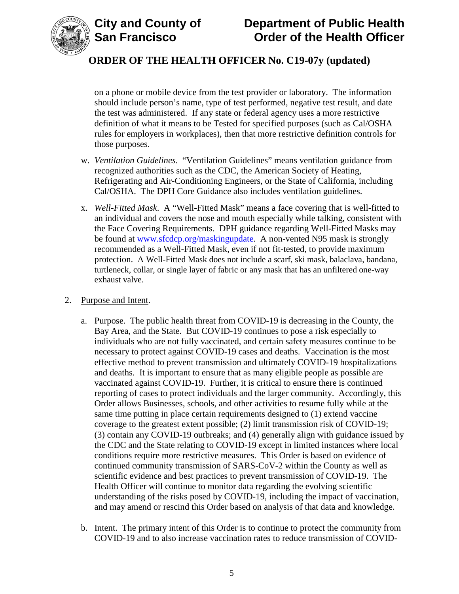



on a phone or mobile device from the test provider or laboratory. The information should include person's name, type of test performed, negative test result, and date the test was administered. If any state or federal agency uses a more restrictive definition of what it means to be Tested for specified purposes (such as Cal/OSHA rules for employers in workplaces), then that more restrictive definition controls for those purposes.

- w. *Ventilation Guidelines*. "Ventilation Guidelines" means ventilation guidance from recognized authorities such as the CDC, the American Society of Heating, Refrigerating and Air-Conditioning Engineers, or the State of California, including Cal/OSHA. The DPH Core Guidance also includes ventilation guidelines.
- x. *Well-Fitted Mask*. A "Well-Fitted Mask" means a face covering that is well-fitted to an individual and covers the nose and mouth especially while talking, consistent with the Face Covering Requirements. DPH guidance regarding Well-Fitted Masks may be found at [www.sfcdcp.org/maskingupdate.](http://www.sfcdcp.org/maskingupdate) A non-vented N95 mask is strongly recommended as a Well-Fitted Mask, even if not fit-tested, to provide maximum protection. A Well-Fitted Mask does not include a scarf, ski mask, balaclava, bandana, turtleneck, collar, or single layer of fabric or any mask that has an unfiltered one-way exhaust valve.
- 2. Purpose and Intent.
	- a. Purpose. The public health threat from COVID-19 is decreasing in the County, the Bay Area, and the State. But COVID-19 continues to pose a risk especially to individuals who are not fully vaccinated, and certain safety measures continue to be necessary to protect against COVID-19 cases and deaths. Vaccination is the most effective method to prevent transmission and ultimately COVID-19 hospitalizations and deaths. It is important to ensure that as many eligible people as possible are vaccinated against COVID-19. Further, it is critical to ensure there is continued reporting of cases to protect individuals and the larger community. Accordingly, this Order allows Businesses, schools, and other activities to resume fully while at the same time putting in place certain requirements designed to (1) extend vaccine coverage to the greatest extent possible; (2) limit transmission risk of COVID-19; (3) contain any COVID-19 outbreaks; and (4) generally align with guidance issued by the CDC and the State relating to COVID-19 except in limited instances where local conditions require more restrictive measures. This Order is based on evidence of continued community transmission of SARS-CoV-2 within the County as well as scientific evidence and best practices to prevent transmission of COVID-19. The Health Officer will continue to monitor data regarding the evolving scientific understanding of the risks posed by COVID-19, including the impact of vaccination, and may amend or rescind this Order based on analysis of that data and knowledge.
	- b. Intent. The primary intent of this Order is to continue to protect the community from COVID-19 and to also increase vaccination rates to reduce transmission of COVID-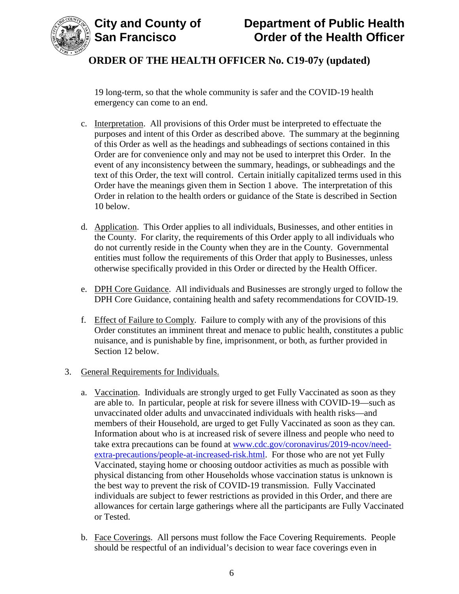

19 long-term, so that the whole community is safer and the COVID-19 health emergency can come to an end.

- c. Interpretation. All provisions of this Order must be interpreted to effectuate the purposes and intent of this Order as described above. The summary at the beginning of this Order as well as the headings and subheadings of sections contained in this Order are for convenience only and may not be used to interpret this Order. In the event of any inconsistency between the summary, headings, or subheadings and the text of this Order, the text will control. Certain initially capitalized terms used in this Order have the meanings given them in Section 1 above. The interpretation of this Order in relation to the health orders or guidance of the State is described in Section 10 below.
- d. Application. This Order applies to all individuals, Businesses, and other entities in the County. For clarity, the requirements of this Order apply to all individuals who do not currently reside in the County when they are in the County. Governmental entities must follow the requirements of this Order that apply to Businesses, unless otherwise specifically provided in this Order or directed by the Health Officer.
- e. DPH Core Guidance. All individuals and Businesses are strongly urged to follow the DPH Core Guidance, containing health and safety recommendations for COVID-19.
- f. Effect of Failure to Comply. Failure to comply with any of the provisions of this Order constitutes an imminent threat and menace to public health, constitutes a public nuisance, and is punishable by fine, imprisonment, or both, as further provided in Section 12 below.
- 3. General Requirements for Individuals.
	- a. Vaccination. Individuals are strongly urged to get Fully Vaccinated as soon as they are able to. In particular, people at risk for severe illness with COVID-19—such as unvaccinated older adults and unvaccinated individuals with health risks—and members of their Household, are urged to get Fully Vaccinated as soon as they can. Information about who is at increased risk of severe illness and people who need to take extra precautions can be found at [www.cdc.gov/coronavirus/2019-ncov/need](https://www.cdc.gov/coronavirus/2019-ncov/need-extra-precautions/people-at-increased-risk.html)[extra-precautions/people-at-increased-risk.html.](https://www.cdc.gov/coronavirus/2019-ncov/need-extra-precautions/people-at-increased-risk.html) For those who are not yet Fully Vaccinated, staying home or choosing outdoor activities as much as possible with physical distancing from other Households whose vaccination status is unknown is the best way to prevent the risk of COVID-19 transmission. Fully Vaccinated individuals are subject to fewer restrictions as provided in this Order, and there are allowances for certain large gatherings where all the participants are Fully Vaccinated or Tested.
	- b. Face Coverings. All persons must follow the Face Covering Requirements. People should be respectful of an individual's decision to wear face coverings even in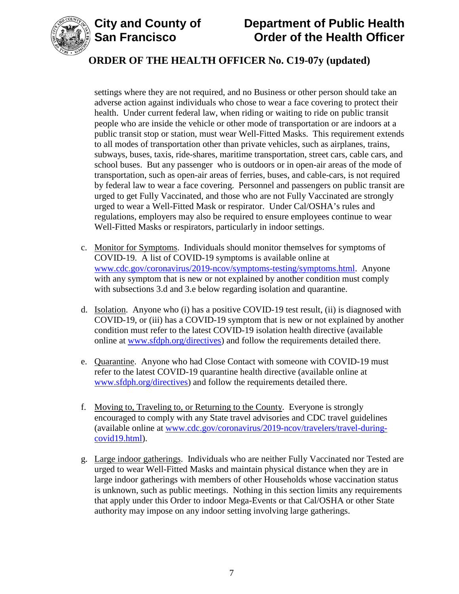

# **City and County of Department of Public Health Order of the Health Officer**

# **ORDER OF THE HEALTH OFFICER No. C19-07y (updated)**

settings where they are not required, and no Business or other person should take an adverse action against individuals who chose to wear a face covering to protect their health. Under current federal law, when riding or waiting to ride on public transit people who are inside the vehicle or other mode of transportation or are indoors at a public transit stop or station, must wear Well-Fitted Masks. This requirement extends to all modes of transportation other than private vehicles, such as airplanes, trains, subways, buses, taxis, ride-shares, maritime transportation, street cars, cable cars, and school buses. But any passenger who is outdoors or in open-air areas of the mode of transportation, such as open-air areas of ferries, buses, and cable-cars, is not required by federal law to wear a face covering. Personnel and passengers on public transit are urged to get Fully Vaccinated, and those who are not Fully Vaccinated are strongly urged to wear a Well-Fitted Mask or respirator. Under Cal/OSHA's rules and regulations, employers may also be required to ensure employees continue to wear Well-Fitted Masks or respirators, particularly in indoor settings.

- c. Monitor for Symptoms. Individuals should monitor themselves for symptoms of COVID-19. A list of COVID-19 symptoms is available online at [www.cdc.gov/coronavirus/2019-ncov/symptoms-testing/symptoms.html.](https://www.cdc.gov/coronavirus/2019-ncov/symptoms-testing/symptoms.html) Anyone with any symptom that is new or not explained by another condition must comply with subsections 3.d and 3.e below regarding isolation and quarantine.
- d. Isolation. Anyone who (i) has a positive COVID-19 test result, (ii) is diagnosed with COVID-19, or (iii) has a COVID-19 symptom that is new or not explained by another condition must refer to the latest COVID-19 isolation health directive (available online at [www.sfdph.org/directives\)](https://www.sfdph.org/directives) and follow the requirements detailed there.
- e. Quarantine. Anyone who had Close Contact with someone with COVID-19 must refer to the latest COVID-19 quarantine health directive (available online at [www.sfdph.org/directives\)](https://www.sfdph.org/directives) and follow the requirements detailed there.
- f. Moving to, Traveling to, or Returning to the County. Everyone is strongly encouraged to comply with any State travel advisories and CDC travel guidelines (available online at [www.cdc.gov/coronavirus/2019-ncov/travelers/travel-during](https://www.cdc.gov/coronavirus/2019-ncov/travelers/travel-during-covid19.html)[covid19.html\)](https://www.cdc.gov/coronavirus/2019-ncov/travelers/travel-during-covid19.html).
- g. Large indoor gatherings. Individuals who are neither Fully Vaccinated nor Tested are urged to wear Well-Fitted Masks and maintain physical distance when they are in large indoor gatherings with members of other Households whose vaccination status is unknown, such as public meetings. Nothing in this section limits any requirements that apply under this Order to indoor Mega-Events or that Cal/OSHA or other State authority may impose on any indoor setting involving large gatherings.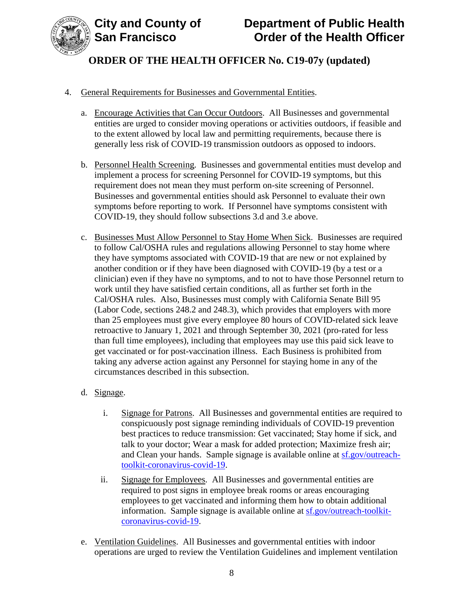

## 4. General Requirements for Businesses and Governmental Entities.

- a. Encourage Activities that Can Occur Outdoors. All Businesses and governmental entities are urged to consider moving operations or activities outdoors, if feasible and to the extent allowed by local law and permitting requirements, because there is generally less risk of COVID-19 transmission outdoors as opposed to indoors.
- b. Personnel Health Screening. Businesses and governmental entities must develop and implement a process for screening Personnel for COVID-19 symptoms, but this requirement does not mean they must perform on-site screening of Personnel. Businesses and governmental entities should ask Personnel to evaluate their own symptoms before reporting to work. If Personnel have symptoms consistent with COVID-19, they should follow subsections 3.d and 3.e above.
- c. Businesses Must Allow Personnel to Stay Home When Sick. Businesses are required to follow Cal/OSHA rules and regulations allowing Personnel to stay home where they have symptoms associated with COVID-19 that are new or not explained by another condition or if they have been diagnosed with COVID-19 (by a test or a clinician) even if they have no symptoms, and to not to have those Personnel return to work until they have satisfied certain conditions, all as further set forth in the Cal/OSHA rules. Also, Businesses must comply with California Senate Bill 95 (Labor Code, sections 248.2 and 248.3), which provides that employers with more than 25 employees must give every employee 80 hours of COVID-related sick leave retroactive to January 1, 2021 and through September 30, 2021 (pro-rated for less than full time employees), including that employees may use this paid sick leave to get vaccinated or for post-vaccination illness. Each Business is prohibited from taking any adverse action against any Personnel for staying home in any of the circumstances described in this subsection.
- d. Signage.
	- i. Signage for Patrons. All Businesses and governmental entities are required to conspicuously post signage reminding individuals of COVID-19 prevention best practices to reduce transmission: Get vaccinated; Stay home if sick, and talk to your doctor; Wear a mask for added protection; Maximize fresh air; and Clean your hands. Sample signage is available online at [sf.gov/outreach](https://sf.gov/outreach-toolkit-coronavirus-covid-19)[toolkit-coronavirus-covid-19.](https://sf.gov/outreach-toolkit-coronavirus-covid-19)
	- ii. Signage for Employees. All Businesses and governmental entities are required to post signs in employee break rooms or areas encouraging employees to get vaccinated and informing them how to obtain additional information. Sample signage is available online at [sf.gov/outreach-toolkit](https://sf.gov/outreach-toolkit-coronavirus-covid-19)[coronavirus-covid-19.](https://sf.gov/outreach-toolkit-coronavirus-covid-19)
- e. Ventilation Guidelines. All Businesses and governmental entities with indoor operations are urged to review the Ventilation Guidelines and implement ventilation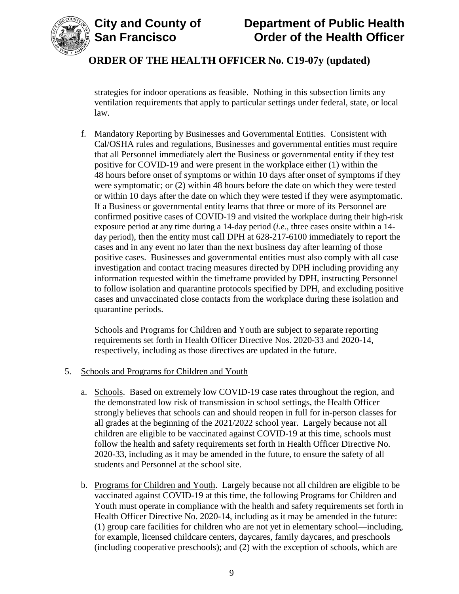

# **City and County of Department of Public Health Order of the Health Officer**

# **ORDER OF THE HEALTH OFFICER No. C19-07y (updated)**

strategies for indoor operations as feasible. Nothing in this subsection limits any ventilation requirements that apply to particular settings under federal, state, or local law.

f. Mandatory Reporting by Businesses and Governmental Entities. Consistent with Cal/OSHA rules and regulations, Businesses and governmental entities must require that all Personnel immediately alert the Business or governmental entity if they test positive for COVID-19 and were present in the workplace either (1) within the 48 hours before onset of symptoms or within 10 days after onset of symptoms if they were symptomatic; or (2) within 48 hours before the date on which they were tested or within 10 days after the date on which they were tested if they were asymptomatic. If a Business or governmental entity learns that three or more of its Personnel are confirmed positive cases of COVID-19 and visited the workplace during their high-risk exposure period at any time during a 14-day period (*i.e.*, three cases onsite within a 14 day period), then the entity must call DPH at 628-217-6100 immediately to report the cases and in any event no later than the next business day after learning of those positive cases. Businesses and governmental entities must also comply with all case investigation and contact tracing measures directed by DPH including providing any information requested within the timeframe provided by DPH, instructing Personnel to follow isolation and quarantine protocols specified by DPH, and excluding positive cases and unvaccinated close contacts from the workplace during these isolation and quarantine periods.

Schools and Programs for Children and Youth are subject to separate reporting requirements set forth in Health Officer Directive Nos. 2020-33 and 2020-14, respectively, including as those directives are updated in the future.

## 5. Schools and Programs for Children and Youth

- a. Schools. Based on extremely low COVID-19 case rates throughout the region, and the demonstrated low risk of transmission in school settings, the Health Officer strongly believes that schools can and should reopen in full for in-person classes for all grades at the beginning of the 2021/2022 school year. Largely because not all children are eligible to be vaccinated against COVID-19 at this time, schools must follow the health and safety requirements set forth in Health Officer Directive No. 2020-33, including as it may be amended in the future, to ensure the safety of all students and Personnel at the school site.
- b. Programs for Children and Youth. Largely because not all children are eligible to be vaccinated against COVID-19 at this time, the following Programs for Children and Youth must operate in compliance with the health and safety requirements set forth in Health Officer Directive No. 2020-14, including as it may be amended in the future: (1) group care facilities for children who are not yet in elementary school—including, for example, licensed childcare centers, daycares, family daycares, and preschools (including cooperative preschools); and (2) with the exception of schools, which are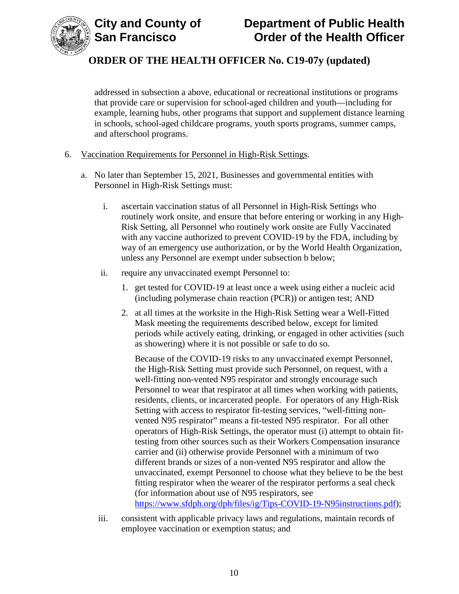



addressed in subsection a above, educational or recreational institutions or programs that provide care or supervision for school-aged children and youth—including for example, learning hubs, other programs that support and supplement distance learning in schools, school-aged childcare programs, youth sports programs, summer camps, and afterschool programs.

#### 6. Vaccination Requirements for Personnel in High-Risk Settings.

- a. No later than September 15, 2021, Businesses and governmental entities with Personnel in High-Risk Settings must:
	- i. ascertain vaccination status of all Personnel in High-Risk Settings who routinely work onsite, and ensure that before entering or working in any High-Risk Setting, all Personnel who routinely work onsite are Fully Vaccinated with any vaccine authorized to prevent COVID-19 by the FDA, including by way of an emergency use authorization, or by the World Health Organization, unless any Personnel are exempt under subsection b below;
	- ii. require any unvaccinated exempt Personnel to:
		- 1. get tested for COVID-19 at least once a week using either a nucleic acid (including polymerase chain reaction (PCR)) or antigen test; AND
		- 2. at all times at the worksite in the High-Risk Setting wear a Well-Fitted Mask meeting the requirements described below, except for limited periods while actively eating, drinking, or engaged in other activities (such as showering) where it is not possible or safe to do so.

Because of the COVID-19 risks to any unvaccinated exempt Personnel, the High-Risk Setting must provide such Personnel, on request, with a well-fitting non-vented N95 respirator and strongly encourage such Personnel to wear that respirator at all times when working with patients, residents, clients, or incarcerated people. For operators of any High-Risk Setting with access to respirator fit-testing services, "well-fitting nonvented N95 respirator" means a fit-tested N95 respirator. For all other operators of High-Risk Settings, the operator must (i) attempt to obtain fittesting from other sources such as their Workers Compensation insurance carrier and (ii) otherwise provide Personnel with a minimum of two different brands or sizes of a non-vented N95 respirator and allow the unvaccinated, exempt Personnel to choose what they believe to be the best fitting respirator when the wearer of the respirator performs a seal check (for information about use of N95 respirators, see [https://www.sfdph.org/dph/files/ig/Tips-COVID-19-N95instructions.pdf\)](https://www.sfdph.org/dph/files/ig/Tips-COVID-19-N95instructions.pdf);

iii. consistent with applicable privacy laws and regulations, maintain records of employee vaccination or exemption status; and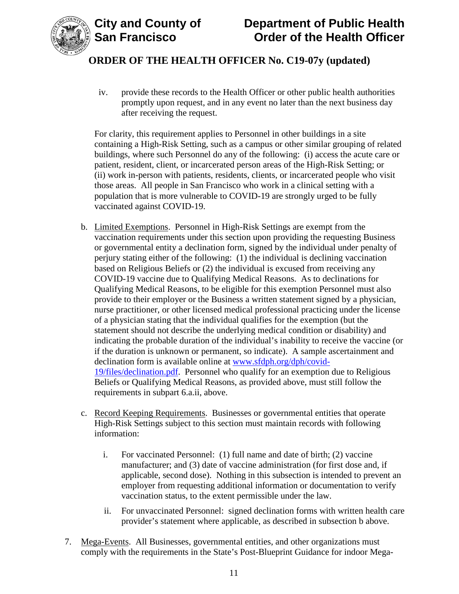



iv. provide these records to the Health Officer or other public health authorities promptly upon request, and in any event no later than the next business day after receiving the request.

For clarity, this requirement applies to Personnel in other buildings in a site containing a High-Risk Setting, such as a campus or other similar grouping of related buildings, where such Personnel do any of the following: (i) access the acute care or patient, resident, client, or incarcerated person areas of the High-Risk Setting; or (ii) work in-person with patients, residents, clients, or incarcerated people who visit those areas. All people in San Francisco who work in a clinical setting with a population that is more vulnerable to COVID-19 are strongly urged to be fully vaccinated against COVID-19.

- b. Limited Exemptions. Personnel in High-Risk Settings are exempt from the vaccination requirements under this section upon providing the requesting Business or governmental entity a declination form, signed by the individual under penalty of perjury stating either of the following: (1) the individual is declining vaccination based on Religious Beliefs or (2) the individual is excused from receiving any COVID-19 vaccine due to Qualifying Medical Reasons. As to declinations for Qualifying Medical Reasons, to be eligible for this exemption Personnel must also provide to their employer or the Business a written statement signed by a physician, nurse practitioner, or other licensed medical professional practicing under the license of a physician stating that the individual qualifies for the exemption (but the statement should not describe the underlying medical condition or disability) and indicating the probable duration of the individual's inability to receive the vaccine (or if the duration is unknown or permanent, so indicate). A sample ascertainment and declination form is available online at [www.sfdph.org/dph/covid-](https://www.sfdph.org/dph/covid-19/files/declination.pdf)[19/files/declination.pdf.](https://www.sfdph.org/dph/covid-19/files/declination.pdf) Personnel who qualify for an exemption due to Religious Beliefs or Qualifying Medical Reasons, as provided above, must still follow the requirements in subpart 6.a.ii, above.
- c. Record Keeping Requirements. Businesses or governmental entities that operate High-Risk Settings subject to this section must maintain records with following information:
	- i. For vaccinated Personnel: (1) full name and date of birth; (2) vaccine manufacturer; and (3) date of vaccine administration (for first dose and, if applicable, second dose). Nothing in this subsection is intended to prevent an employer from requesting additional information or documentation to verify vaccination status, to the extent permissible under the law.
	- ii. For unvaccinated Personnel: signed declination forms with written health care provider's statement where applicable, as described in subsection b above.
- 7. Mega-Events. All Businesses, governmental entities, and other organizations must comply with the requirements in the State's Post-Blueprint Guidance for indoor Mega-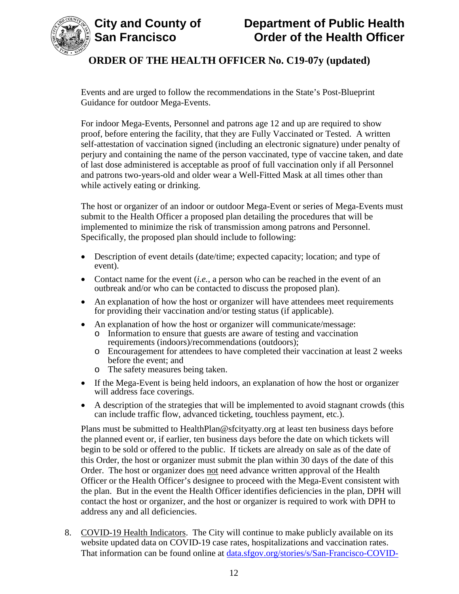

Events and are urged to follow the recommendations in the State's Post-Blueprint Guidance for outdoor Mega-Events.

For indoor Mega-Events, Personnel and patrons age 12 and up are required to show proof, before entering the facility, that they are Fully Vaccinated or Tested. A written self-attestation of vaccination signed (including an electronic signature) under penalty of perjury and containing the name of the person vaccinated, type of vaccine taken, and date of last dose administered is acceptable as proof of full vaccination only if all Personnel and patrons two-years-old and older wear a Well-Fitted Mask at all times other than while actively eating or drinking.

The host or organizer of an indoor or outdoor Mega-Event or series of Mega-Events must submit to the Health Officer a proposed plan detailing the procedures that will be implemented to minimize the risk of transmission among patrons and Personnel. Specifically, the proposed plan should include to following:

- Description of event details (date/time; expected capacity; location; and type of event).
- Contact name for the event *(i.e., a person who can be reached in the event of an* outbreak and/or who can be contacted to discuss the proposed plan).
- An explanation of how the host or organizer will have attendees meet requirements for providing their vaccination and/or testing status (if applicable).
- An explanation of how the host or organizer will communicate/message:
	- o Information to ensure that guests are aware of testing and vaccination requirements (indoors)/recommendations (outdoors);
	- o Encouragement for attendees to have completed their vaccination at least 2 weeks before the event; and
	- o The safety measures being taken.
- If the Mega-Event is being held indoors, an explanation of how the host or organizer will address face coverings.
- A description of the strategies that will be implemented to avoid stagnant crowds (this can include traffic flow, advanced ticketing, touchless payment, etc.).

Plans must be submitted to HealthPlan@sfcityatty.org at least ten business days before the planned event or, if earlier, ten business days before the date on which tickets will begin to be sold or offered to the public. If tickets are already on sale as of the date of this Order, the host or organizer must submit the plan within 30 days of the date of this Order. The host or organizer does not need advance written approval of the Health Officer or the Health Officer's designee to proceed with the Mega-Event consistent with the plan. But in the event the Health Officer identifies deficiencies in the plan, DPH will contact the host or organizer, and the host or organizer is required to work with DPH to address any and all deficiencies.

8. COVID-19 Health Indicators. The City will continue to make publicly available on its website updated data on COVID-19 case rates, hospitalizations and vaccination rates. That information can be found online at [data.sfgov.org/stories/s/San-Francisco-COVID-](https://data.sfgov.org/stories/s/San-Francisco-COVID-19-Data-and-Reports/fjki-2fab/)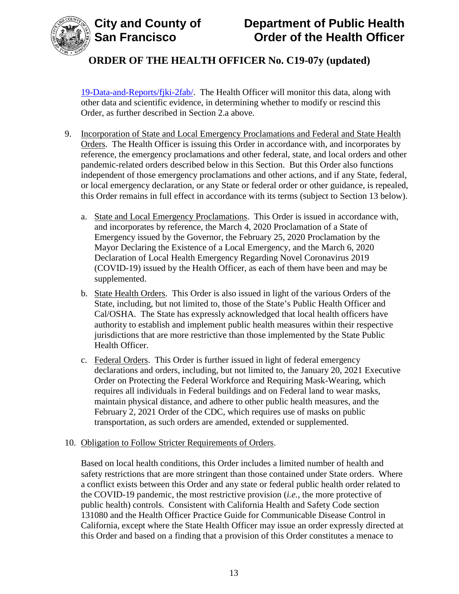

[19-Data-and-Reports/fjki-2fab/.](https://data.sfgov.org/stories/s/San-Francisco-COVID-19-Data-and-Reports/fjki-2fab/) The Health Officer will monitor this data, along with other data and scientific evidence, in determining whether to modify or rescind this Order, as further described in Section 2.a above.

- 9. Incorporation of State and Local Emergency Proclamations and Federal and State Health Orders. The Health Officer is issuing this Order in accordance with, and incorporates by reference, the emergency proclamations and other federal, state, and local orders and other pandemic-related orders described below in this Section. But this Order also functions independent of those emergency proclamations and other actions, and if any State, federal, or local emergency declaration, or any State or federal order or other guidance, is repealed, this Order remains in full effect in accordance with its terms (subject to Section 13 below).
	- a. State and Local Emergency Proclamations. This Order is issued in accordance with, and incorporates by reference, the March 4, 2020 Proclamation of a State of Emergency issued by the Governor, the February 25, 2020 Proclamation by the Mayor Declaring the Existence of a Local Emergency, and the March 6, 2020 Declaration of Local Health Emergency Regarding Novel Coronavirus 2019 (COVID-19) issued by the Health Officer, as each of them have been and may be supplemented.
	- b. State Health Orders. This Order is also issued in light of the various Orders of the State, including, but not limited to, those of the State's Public Health Officer and Cal/OSHA. The State has expressly acknowledged that local health officers have authority to establish and implement public health measures within their respective jurisdictions that are more restrictive than those implemented by the State Public Health Officer.
	- c. Federal Orders. This Order is further issued in light of federal emergency declarations and orders, including, but not limited to, the January 20, 2021 Executive Order on Protecting the Federal Workforce and Requiring Mask-Wearing, which requires all individuals in Federal buildings and on Federal land to wear masks, maintain physical distance, and adhere to other public health measures, and the February 2, 2021 Order of the CDC, which requires use of masks on public transportation, as such orders are amended, extended or supplemented.

## 10. Obligation to Follow Stricter Requirements of Orders.

Based on local health conditions, this Order includes a limited number of health and safety restrictions that are more stringent than those contained under State orders. Where a conflict exists between this Order and any state or federal public health order related to the COVID-19 pandemic, the most restrictive provision (*i.e.*, the more protective of public health) controls. Consistent with California Health and Safety Code section 131080 and the Health Officer Practice Guide for Communicable Disease Control in California, except where the State Health Officer may issue an order expressly directed at this Order and based on a finding that a provision of this Order constitutes a menace to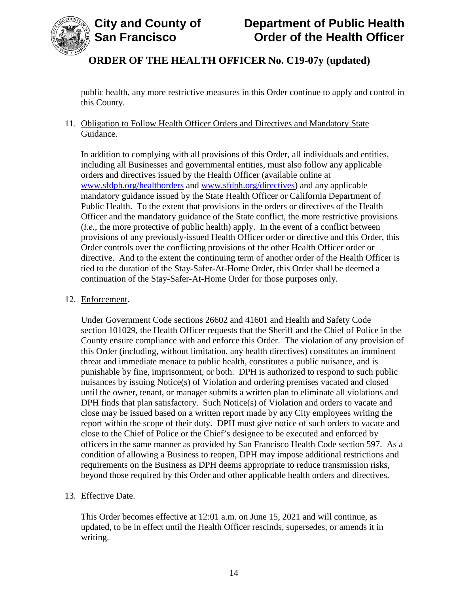

public health, any more restrictive measures in this Order continue to apply and control in this County.

## 11. Obligation to Follow Health Officer Orders and Directives and Mandatory State Guidance.

In addition to complying with all provisions of this Order, all individuals and entities, including all Businesses and governmental entities, must also follow any applicable orders and directives issued by the Health Officer (available online at [www.sfdph.org/healthorders](https://www.sfdph.org/healthorders) and [www.sfdph.org/directives\)](https://www.sfdph.org/directives) and any applicable mandatory guidance issued by the State Health Officer or California Department of Public Health. To the extent that provisions in the orders or directives of the Health Officer and the mandatory guidance of the State conflict, the more restrictive provisions (*i.e.*, the more protective of public health) apply. In the event of a conflict between provisions of any previously-issued Health Officer order or directive and this Order, this Order controls over the conflicting provisions of the other Health Officer order or directive. And to the extent the continuing term of another order of the Health Officer is tied to the duration of the Stay-Safer-At-Home Order, this Order shall be deemed a continuation of the Stay-Safer-At-Home Order for those purposes only.

#### 12. Enforcement.

Under Government Code sections 26602 and 41601 and Health and Safety Code section 101029, the Health Officer requests that the Sheriff and the Chief of Police in the County ensure compliance with and enforce this Order. The violation of any provision of this Order (including, without limitation, any health directives) constitutes an imminent threat and immediate menace to public health, constitutes a public nuisance, and is punishable by fine, imprisonment, or both. DPH is authorized to respond to such public nuisances by issuing Notice(s) of Violation and ordering premises vacated and closed until the owner, tenant, or manager submits a written plan to eliminate all violations and DPH finds that plan satisfactory. Such Notice(s) of Violation and orders to vacate and close may be issued based on a written report made by any City employees writing the report within the scope of their duty. DPH must give notice of such orders to vacate and close to the Chief of Police or the Chief's designee to be executed and enforced by officers in the same manner as provided by San Francisco Health Code section 597. As a condition of allowing a Business to reopen, DPH may impose additional restrictions and requirements on the Business as DPH deems appropriate to reduce transmission risks, beyond those required by this Order and other applicable health orders and directives.

## 13. Effective Date.

This Order becomes effective at 12:01 a.m. on June 15, 2021 and will continue, as updated, to be in effect until the Health Officer rescinds, supersedes, or amends it in writing.